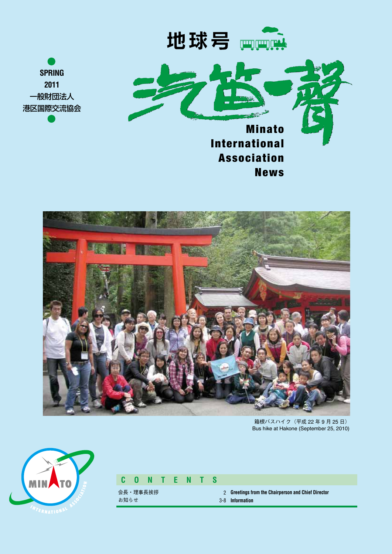



News





箱根バスハイク(平成 22 年 9 月 25 日) Bus hike at Hakone (September 25, 2010)



#### **C O N T E N T S**

会長・理事長挨拶 お知らせ

**Greetings from the Chairperson and Chief Director** 2 **Information** 3-8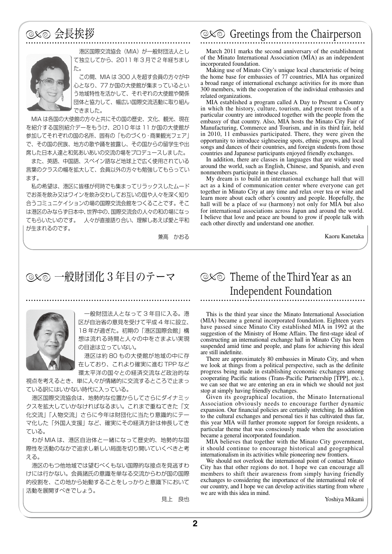

 港区国際交流協会(MIA)が一般財団法人とし て独立してから、2011 年 3 月で 2 年経ちまし た。

 この間、MIA は 300 人を超す会員の方々が中 心となり、77 か国の大使館が集まっているとい う地域特性を活かして、それぞれの大使館や関係 団体と協力して、幅広い国際交流活動に取り組ん できました。

 MIA は各国の大使館の方々と共にその国の歴史、文化、観光、現在 を紹介する国別紹介デーをもうけ、2010 年は 11 か国の大使館が 参加してそれぞれの国の名所、固有の「ものづくり・商業観光フェア」 で、その国の民族、地方の歌や踊を披露し、その国からの留学生や出 席した日本人達と和気あいあいの交流の場をプロデュースしました。

 また、英語、中国語、スペイン語など地球上で広く使用されている 言葉のクラスの幅を拡大して、会員以外の方々も勉強してもらってい ます。

 私の希望は、港区に皆様が何時でも集まってリラックスしたムード でお茶を飲み又はワインを飲み交わしてお互いの国や人々を深く知り 合うコミュニケイションの場の国際交流会館をつくることです。そこ は港区のみならず日本中、世界中の、国際交流会の人々の和の場になっ てもらいたいのです。 人々が直接語り合い、理解しあえば愛と平和 が生まれるのです。

兼高 かおる

# ◎ 全長挨拶 Greetings from the Chairperson

March 2011 marks the second anniversary of the establishment of the Minato International Association (MIA) as an independent incorporated foundation.

Making use of Minato City's unique local characteristic of being the home base for embassies of 77 countries, MIA has organized a broad range of international exchange activities for its more than 300 members, with the cooperation of the individual embassies and related organizations.

MIA established a program called A Day to Present a Country in which the history, culture, tourism, and present trends of a particular country are introduced together with the people from the embassy of that country. Also, MIA hosts the Minato City Fair of Manufacturing, Commerce and Tourism, and in its third fair, held in 2010, 11 embassies participated. There, they were given the opportunity to introduce sightseeing spots, ethnic groups, and local songs and dances of their countries, and foreign students from those countries and Japanese participants enjoyed friendly exchanges.

In addition, there are classes in languages that are widely used around the world, such as English, Chinese, and Spanish, and even nonmembers participate in these classes.

My dream is to build an international exchange hall that will act as a kind of communication center where everyone can get together in Minato City at any time and relax over tea or wine and learn more about each other's country and people. Hopefully, the hall will be a place of *wa* (harmony) not only for MIA but also for international associations across Japan and around the world. I believe that love and peace are bound to grow if people talk with each other directly and understand one another.

Kaoru Kanetaka

### $\infty$  一般財団化 3 年目のテーマ ◎ $\infty$  Theme of the Third Year as an



 一般財団法人となって 3 年目に入る。港 区が自治省の意見を受けて平成 4 年に設立、 18 年が過ぎた。初期の「港区国際会館」構 想は流れる時間と人々の中をさまよい実現 の目途は立っていない。

 港区は約 80 もの大使館が地域の中に存 在しており、これより確実に進む TPP など 環太平洋の国々との経済交流など政治的な

視点を考えるとき、単に人々が情緒的に交流するところで止まっ ている訳にはいかない時代に入っている。

 港区国際交流協会は、地勢的な位置からしてさらにダイナミッ クスを拡大していかなければなるまい。これまで重ねてきた「文 化交流」「人物交流」さらに今年は財団化に当たり意識的にテー マ化した「外国人支援」など、確実にその経済方針は伸長してき ている。

 わが MIA は、港区自治体と一緒になって歴史的、地勢的な国 際性を活動のなかで追求し新しい局面を切り開いていくべきと考 える。

 港区のもつ他地域では望むべくもない国際的な接点を見逃すわ けには行かない。会員諸氏の意識を単なる交流からわが国の国際 的役割を、この地から始動することをしっかりと意識下において 活動を展開すべきでしょう。

見上 良也

# Independent Foundation

This is the third year since the Minato International Association (MIA) became a general incorporated foundation. Eighteen years have passed since Minato City established MIA in 1992 at the suggestion of the Ministry of Home Affairs. The first-stage ideal of constructing an international exchange hall in Minato City has been suspended amid time and people, and plans for achieving this ideal are still indefinite.

There are approximately 80 embassies in Minato City, and when we look at things from a political perspective, such as the definite progress being made in establishing economic exchanges among cooperating Pacific nations (Trans-Pacific Partnership [TPP], etc.), we can see that we are entering an era in which we should not just stop at simply having friendly exchanges.

Given its geographical location, the Minato International Association obviously needs to encourage further dynamic expansion. Our financial policies are certainly stretching. In addition to the cultural exchanges and personal ties it has cultivated thus far, this year MIA will further promote support for foreign residents, a particular theme that was consciously made when the association became a general incorporated foundation.

MIA believes that together with the Minato City government, it should continue to encourage historical and geographical internationalism in its activities while pioneering new frontiers.

We should not overlook the international point of contact Minato City has that other regions do not. I hope we can encourage all members to shift their awareness from simply having friendly exchanges to considering the importance of the international role of our country, and I hope we can develop activities starting from where we are with this idea in mind.

Yoshiya Mikami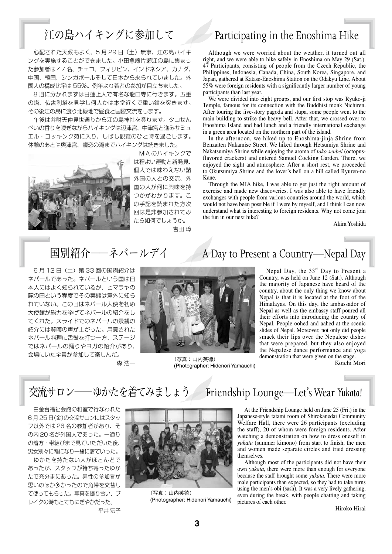### 江の島ハイキングに参加して Participating in the Enoshima Hike

 心配された天候もよく、5 月 29 日(土)無事、江の島ハイキ ングを実施することができました。小田急線片瀬江の島に集まっ た参加者は 47 名、チェコ、フィリピン、インドネシア、カナダ、 中国、韓国、シンガポールそして日本から来られていました。外 国人の構成比率は 55%。例年より若者の参加が目立ちました。

 8 班に分かれまずは日蓮上人で有名な龍口寺に行きます。五重 の塔、仏舎利塔を見学し何人かは本堂近くで重い鐘を突きます。 その後江の島に渡り北緑地で昼食と国際交流をします。

 午後は弁財天仲見世通りから江の島神社を登ります。タコせん べいの香りを嗅ぎながらハイキングは辺津宮、中津宮と進みサミュ エル・コッキング苑に入り、しばし観覧のひと時を過ごします。 休憩のあとは奥津宮、龍恋の滝までハイキングは続きました。



 MIA のハイキングで は程よい運動と新発見、 個人では味わえない諸 外国の人との交流、外 国の人が何に興味を持 つかがわかります。こ の手記を読まれた方次 回は是非参加されてみ たら如何でしょうか。 吉田 璋

Although we were worried about the weather, it turned out all right, and we were able to hike safely in Enoshima on May 29 (Sat.). 47 Participants, consisting of people from the Czech Republic, the Philippines, Indonesia, Canada, China, South Korea, Singapore, and Japan, gathered at Katase-Enoshima Station on the Odakyu Line. About 55% were foreign residents with a significantly larger number of young participants than last year.

We were divided into eight groups, and our first stop was Ryuko-ji Temple, famous for its connection with the Buddhist monk Nichiren. After touring the five-story pagoda and stupa, some people went to the main building to strike the heavy bell. After that, we crossed over to Enoshima Island and had lunch and a friendly international exchange in a green area located on the northern part of the island.

In the afternoon, we hiked up to Enoshima-jinja Shrine from Benzaiten Nakamise Street. We hiked through Hetsumiya Shrine and Nakatsumiya Shrine while enjoying the aroma of *tako senbei* (octopusflavored crackers) and entered Samuel Cocking Garden. There, we enjoyed the sight and atmosphere. After a short rest, we proceeded to Okutsumiya Shrine and the lover's bell on a hill called Ryuren-no Kane.

Through the MIA hike, I was able to get just the right amount of exercise and made new discoveries. I was also able to have friendly exchanges with people from various countries around the world, which would not have been possible if I were by myself, and I think I can now understand what is interesting to foreign residents. Why not come join the fun in our next hike?

Akira Yoshida

 6 月 12 日(土)第 33 回の国別紹介は ネパールであった。ネパールという国は日 本人にはよく知られているが、ヒマラヤの 麓の国という程度でその実態は意外に知ら れていない。この日はネパール大使を初め 大使館が総力を挙げてネパールの紹介をし てくれた。スライドでのネパールの景観の 紹介には賛嘆の声が上がった。用意された ネパール料理に舌鼓を打つ一方、ステージ ではネパールの踊りやヨガの紹介があり、 会場にいた全員が参加して楽しんだ。 森 浩一



(写真:山内英徳) (Photographer: Hidenori Yamauchi)

# 国別紹介——ネパールデイ A Day to Present a Country—Nepal Day

Nepal Day, the  $33<sup>rd</sup>$  Day to Present a Country, was held on June 12 (Sat.). Although the majority of Japanese have heard of the country, about the only thing we know about Nepal is that it is located at the foot of the Himalayas. On this day, the ambassador of Nepal as well as the embassy staff poured all their efforts into introducing the country of Nepal. People oohed and aahed at the scenic slides of Nepal. Moreover, not only did people smack their lips over the Nepalese dishes that were prepared, but they also enjoyed the Nepalese dance performance and yoga demonstration that were given on the stage.

Koichi Mori

交流サロン――ゆかたを着てみましょう Friendship Lounge—Let's Wear *Yukata!*

 白金台福祉会館の和室で行なわれた 6 月 25 日(金)の交流サロンにはスタッ フ以外では 26 名の参加者があり、そ の内 20 名が外国人であった。一通り の着方・帯結びまで見ていただいた後、 男女別々に輪になり一緒に着ていった。

 ゆかたを持たない人がほとんどで あったが、スタッフが持ち寄ったゆか たで充分まにあった。男性の参加者が 思いのほか多かったので角帯を交替し て使ってもらった。写真を撮り合い、ブ レイクの時もとてもにぎやかだった。 平井 宏子



(写真:山内英徳) (Photographer: Hidenori Yamauchi)

At the Friendship Lounge held on June 25 (Fri.) in the Japanese-style tatami room of Shirokanedai Community Welfare Hall, there were 26 participants (excluding the staff), 20 of whom were foreign residents. After watching a demonstration on how to dress oneself in *yukata* (summer kimono) from start to finish, the men and women made separate circles and tried dressing themselves.

Although most of the participants did not have their own *yukata*, there were more than enough for everyone because the staff brought some *yukata*. There were more male participants than expected, so they had to take turns using the men's obi (sash). It was a very lively gathering, even during the break, with people chatting and taking pictures of each other.

Hiroko Hirai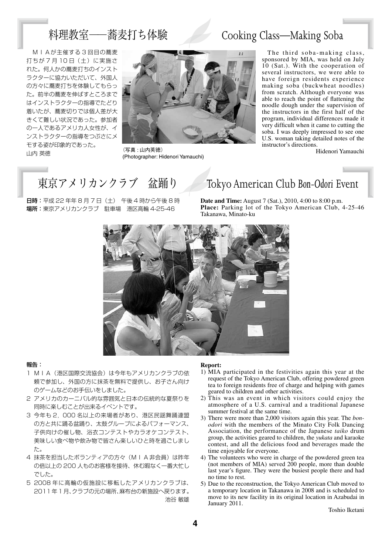### 料理教室––蕎麦打ち体験 Cooking Class–Making Soba

 MIAが主催する 3 回目の蕎麦 打ちが 7 月 10 日 (土)に実施さ れた。何人かの蕎麦打ちのインスト ラクターに協力いただいて、外国人 の方々に蕎麦打ちを体験してもらっ た。前半の蕎麦を伸ばすところまで はインストラクターの指導でたどり 着いたが、蕎麦切りでは個人差が大 きくて難しい状況であった。参加者 の一人であるアメリカ人女性が、イ ンストラクターの指導をつぶさにメ モする姿が印象的であった。 山内 英徳



(写真 : 山内英徳) (Photographer: Hidenori Yamauchi)

The third soba-making class, sponsored by MIA, was held on July 10 (Sat.). With the cooperation of several instructors, we were able to have foreign residents experience making soba (buckwheat noodles) from scratch. Although everyone was able to reach the point of flattening the noodle dough under the supervision of the instructors in the first half of the program, individual differences made it very difficult when it came to cutting the soba. I was deeply impressed to see one U.S. woman taking detailed notes of the instructor's directions.

Hidenori Yamauchi

日時:平成 22 年年 8 月 7 日(土) 午後 4 時から午後 8 時 場所:東京アメリカンクラブ 駐車場 港区高輪 4-25-46

## 東京アメリカンクラブ 盆踊り Tokyo American Club *Bon-Odori* Event

**Date and Time:** August 7 (Sat.), 2010, 4:00 to 8:00 p.m. Place: Parking lot of the Tokyo American Club, 4-25-46 Takanawa, Minato-ku



#### 報告:

- 1 MIA (港区国際交流協会)は今年もアメリカンクラブの依 頼で参加し、外国の方に抹茶を無料で提供し、お子さん向け のゲームなどのお手伝いをしました。
- 2 アメリカのカーニバル的な雰囲気と日本の伝統的な夏祭りを 同時に楽しむことが出来るイベントです。
- 3 今年も 2,000 名以上の来場者があり、港区民謡舞踊連盟 の方と共に踊る盆踊り、太鼓グループによるパフォーマンス、 子供向けの催し物、浴衣コンテストやカラオケコンテスト、 美味しい食べ物や飲み物で皆さん楽しいひと時を過ごしまし た。
- 4 抹茶を担当したボランティアの方々(MIA 非会員)は昨年 の倍以上の 200 人ものお客様を接待、休む暇なく一番大忙し でした。
- 5 2008 年に高輪の仮施設に移転したアメリカンクラブは、 2011年1月、クラブの元の場所、麻布台の新施設へ戻ります。 池谷 敏雄

#### **Report:**

- 1) MIA participated in the festivities again this year at the request of the Tokyo American Club, offering powdered green tea to foreign residents free of charge and helping with games geared to children and other activities.
- 2) This was an event in which visitors could enjoy the atmosphere of a U.S. carnival and a traditional Japanese summer festival at the same time.
- 3) There were more than 2,000 visitors again this year. The *bonodori* with the members of the Minato City Folk Dancing Association, the performance of the Japanese *taiko* drum group, the activities geared to children, the *yukata* and karaoke contest, and all the delicious food and beverages made the time enjoyable for everyone.
- 4) The volunteers who were in charge of the powdered green tea (not members of MIA) served 200 people, more than double last year's figure. They were the busiest people there and had no time to rest.
- 5) Due to the reconstruction, the Tokyo American Club moved to a temporary location in Takanawa in 2008 and is scheduled to move to its new facility in its original location in Azabudai in January 2011.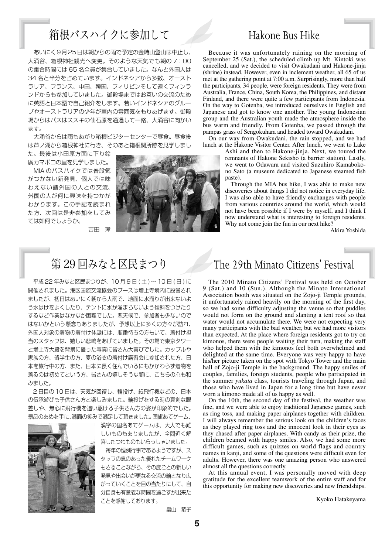### 箱根バスハイクに参加して Hakone Bus Hike

あいにく9月25日は朝からの雨で予定の金時山登山は中止し、 大涌谷、箱根神社観光へ変更。そのような天気でも朝の 7:00 の集合時間には 65 名全員が集合していました。なんと外国人は 34 名と半分を占めています。インドネシアから多数、オースト ラリア、フランス、中国、韓国、フィリピンそして遠くフィンラ ンドからも参加していました。御殿場まではお互いの交流のため に英語と日本語で自己紹介をします。若いインドネシアのグルー プやオーストラリアの少年が車内の雰囲気をもりあげます。御殿 場からはバスはススキの仙石原を通過して一路、大涌谷に向かい ます。

 大涌谷からは雨もあがり箱根ビジターセンターで昼食。昼食後 は芦ノ湖から箱根神社に行き、そのあと箱根関所跡を見学しまし

た。最後は小田原方面に下り鈴 廣カマボコの里を見学しました。

 MIA のバスハイクでは普段気 がつかない新発見、個人では味 わえない諸外国の人との交流、 外国の人が何に興味を持つかが わかります。この手記を読まれ た方、次回は是非参加をしてみ ては如何でしょうか。



吉田 璋

平成 22 年みなと区民まつりが、10月9日 (土)~10日 (日)に 開催されました。港区国際交流協会のブースは増上寺境内に設営され ましたが、初日はあいにく朝から大雨で、地面に水溜りが出来ないよ う水はけをよくしたり、テントに水が溜まらないよう傾斜をつけたり するなど作業はなかなか困難でした。悪天候で、参加者も少ないので はないかという懸念もありましたが、予想以上に多くの方々が訪れ、 外国人対象の着物の着付け体験には、順番待ちの方もいて、着付け担 当のスタッフは、嬉しい悲鳴をあげていました。その場で東京タワー と増上寺大殿を背景に撮った写真に皆さん大喜びでした。カップルや 家族の方、留学生の方、夏の浴衣の着付け講習会に参加された方、日 本を旅行中の方、また、日本に長く住んでいるにもかかわらず着物を 着るのは初めてという方、皆さんの嬉しそうな顔に、こちらの心も和 みました。

 2 日目の 10 日は、天気が回復し、輪投げ、紙飛行機などの、日本 の伝承遊びも子供さん方と楽しみました。輪投げをする時の真剣な眼 差しや、無心に飛行機を追い駆ける子供さん方の姿が印象的でした。 景品のあめを手に、満面の笑みで満足して頂きました。国旗あてゲーム、



漢字の国名あてゲームは、大人でも難 しいものもありましたが、全問近く解 答したつわものもいらっしゃいました。

 毎年の恒例行事であるようですが、ス タッフの息のあった優れたチームワーク もさることながら、その度ごとの新しい 発見や出会いが更なる交流の輪となり広 がっていくことを目の当たりにして、自 分自身も有意義な時間を過ごすが出来た ことを感謝しております。

畠山 恭子

Because it was unfortunately raining on the morning of September 25 (Sat.), the scheduled climb up Mt. Kintoki was cancelled, and we decided to visit Owakudani and Hakone-jinja (shrine) instead. However, even in inclement weather, all 65 of us met at the gathering point at 7:00 a.m. Surprisingly, more than half the participants, 34 people, were foreign residents. They were from Australia, France, China, South Korea, the Philippines, and distant Finland, and there were quite a few participants from Indonesia. On the way to Gotenba, we introduced ourselves in English and Japanese and got to know one another. The young Indonesian group and the Australian youth made the atmosphere inside the bus warm and friendly. From Gotenba, we passed through the pampas grass of Sengokuhara and headed toward Owakudani.

On our way from Owakudani, the rain stopped, and we had lunch at the Hakone Visitor Center. After lunch, we went to Lake

Ashi and then to Hakone-jinja. Next, we toured the remnants of Hakone Sekisho (a barrier station). Lastly, we went to Odawara and visited Suzuhiro Kamabokono Sato (a museum dedicated to Japanese steamed fish paste).

Through the MIA bus hike, I was able to make new discoveries about things I did not notice in everyday life. I was also able to have friendly exchanges with people from various countries around the world, which would not have been possible if I were by myself, and I think I now understand what is interesting to foreign residents. Why not come join the fun in our next hike?

Akira Yoshida

#### 第29回みなと区民まつり The 29th Minato Citizens' Festival

The 2010 Minato Citizens' Festival was held on October 9 (Sat.) and 10 (Sun.). Although the Minato International Association booth was situated on the Zojo-ji Temple grounds, it unfortunately rained heavily on the morning of the first day, so we had some difficulty adjusting the venue so that puddles would not form on the ground and slanting a tent roof so that water would not accumulate there. We were not expecting very many participants with the bad weather, but we had more visitors than expected. At the place where foreign residents got to try on kimonos, there were people waiting their turn, making the staff who helped them with the kimonos feel both overwhelmed and delighted at the same time. Everyone was very happy to have his/her picture taken on the spot with Tokyo Tower and the main hall of Zojo-ji Temple in the background. The happy smiles of couples, families, foreign students, people who participated in the summer *yukata* class, tourists traveling through Japan, and those who have lived in Japan for a long time but have never worn a kimono made all of us happy as well.

On the 10th, the second day of the festival, the weather was fine, and we were able to enjoy traditional Japanese games, such as ring toss, and making paper airplanes together with children. I will always remember the serious look on the children's faces as they played ring toss and the innocent look in their eyes as they chased after paper airplanes. With candy as their prize, the children beamed with happy smiles. Also, we had some more difficult games, such as quizzes on world flags and country names in kanji, and some of the questions were difficult even for adults. However, there was one amazing person who answered almost all the questions correctly.

At this annual event, I was personally moved with deep gratitude for the excellent teamwork of the entire staff and for this opportunity for making new discoveries and new friendships.

Kyoko Hatakeyama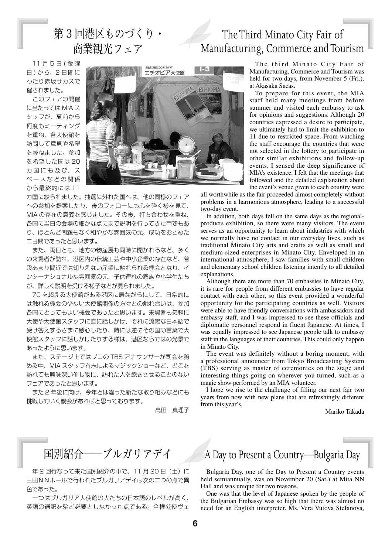### 第3回港区ものづくり· 商業観光フェア

### The Third Minato City Fair of Manufacturing, Commerce and Tourism

 11 月 5 日 ( 金 曜 日 ) から、2 日間に わたり赤坂サカスで 催されました。

 このフェアの開催 に当たっては MIA ス タッフが、夏前から 何度もミーティング を重ね、各大使館を 訪問して意見や希望 を尋ねました。参加 を希望した国は 20 カ国にも及び、ス ペ ー ス な ど の 関 係 から最終的には 11



カ国に絞られました。抽選に外れた国へは、他の同様のフェア への参加を提案したり、後のフォローにも心を砕く様を見て、 MIA の存在の意義を感じました。その後、打ち合わせを重ね、 各国に当日の会場の細かな点にまで説明を行ってきた甲斐もあ り、ほとんど問題もなく和やかな雰囲気の元、成功をおさめた 二日間であったと思います。

 また、両日とも、地方の物産展も同時に開かれるなど、多く の来場者が訪れ、港区内の伝統工芸や中小企業の存在など、普 段あまり間近では知りえない産業に触れられる機会となり、イ ンターナショナルな雰囲気の元、子供連れの家族や小学生たち が、詳しく説明を受ける様子などが見られました。

 70 を超える大使館がある港区に居ながらにして、日常的に は触れる機会の少ない大使館関係の方々との触れ合いは、参加 各国にとってもよい機会であったと思います。来場者も気軽に 大使や大使館スタッフに直に話しかけ、それに流暢な日本語で 受け答えするさまに感心したり、時には逆にその国の言葉で大 使館スタッフに話しかけたりする様は、港区ならではの光景で あったように思います。

 また、ステージ上ではプロの TBS アナウンサーが司会を務 める中、MIA スタッフ有志によるマジックショーなど、どこを 訪れても興味深い催し物に、訪れた人を飽きさせることのない フェアであったと思います。

 また 2 年後に向け、今年とは違った新たな取り組みなどにも 挑戦していく機会があればと思っております。

高田 真理子

The third Minato City Fair of Manufacturing, Commerce and Tourism was held for two days, from November 5 (Fri.), at Akasaka Sacas.

To prepare for this event, the MIA staff held many meetings from before summer and visited each embassy to ask for opinions and suggestions. Although 20 countries expressed a desire to participate, we ultimately had to limit the exhibition to 11 due to restricted space. From watching the staff encourage the countries that were not selected in the lottery to participate in other similar exhibitions and follow-up events, I sensed the deep significance of MIA's existence. I felt that the meetings that followed and the detailed explanation about the event's venue given to each country were

all worthwhile as the fair proceeded almost completely without problems in a harmonious atmosphere, leading to a successful two-day event.

In addition, both days fell on the same days as the regionalproducts exhibition, so there were many visitors. The event serves as an opportunity to learn about industries with which we normally have no contact in our everyday lives, such as traditional Minato City arts and crafts as well as small and medium-sized enterprises in Minato City. Enveloped in an international atmosphere, I saw families with small children and elementary school children listening intently to all detailed explanations.

Although there are more than 70 embassies in Minato City, it is rare for people from different embassies to have regular contact with each other, so this event provided a wonderful opportunity for the participating countries as well. Visitors were able to have friendly conversations with ambassadors and embassy staff, and I was impressed to see these officials and diplomatic personnel respond in fluent Japanese. At times, I was equally impressed to see Japanese people talk to embassy staff in the languages of their countries. This could only happen in Minato City.

The event was definitely without a boring moment, with a professional announcer from Tokyo Broadcasting System (TBS) serving as master of ceremonies on the stage and interesting things going on wherever you turned, such as a magic show performed by an MIA volunteer.

I hope we rise to the challenge of filling our next fair two years from now with new plans that are refreshingly different from this year's.

Mariko Takada

年2回行なって来た国別紹介の中で、11月20日(土)に 三田NNホールで行われたブルガリアデイは次の二つの点で異 色であった。

 一つはブルガリア大使館の人たちの日本語のレベルが高く、 英語の通訳を殆ど必要としなかった点である。全権公使ヴェ

### 国別紹介――ブルガリアデイ A Day to Present a Country—Bulgaria Day

Bulgaria Day, one of the Day to Present a Country events held semiannually, was on November 20 (Sat.) at Mita NN Hall and was unique for two reasons.

One was that the level of Japanese spoken by the people of the Bulgarian Embassy was so high that there was almost no need for an English interpreter. Ms. Vera Vutova Stefanova,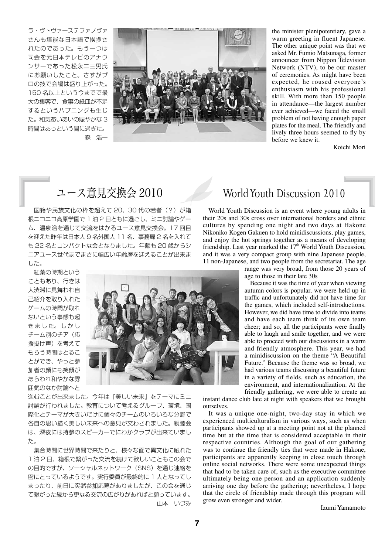ラ・ヴトヴァーステファノヴァ さんも堪能な日本語で挨拶さ れたのであった。もう一つは 司会を元日本テレビのアナウ ンサーであった松永二三男氏 にお願いしたこと。さすがプ ロの技で会場は盛り上がった。 150 名以上という今までで最 大の集客で、食事の紙皿が不足 するというハプニングも生じ た。和気あいあいの賑やかな 3 時間はあっという間に過ぎた。 森 浩一



the minister plenipotentiary, gave a warm greeting in fluent Japanese. The other unique point was that we asked Mr. Fumio Matsunaga, former announcer from Nippon Television Network (NTV), to be our master of ceremonies. As might have been expected, he roused everyone's enthusiasm with his professional skill. With more than 150 people in attendance—the largest number ever achieved—we faced the small problem of not having enough paper plates for the meal. The friendly and lively three hours seemed to fly by before we knew it.

Koichi Mori

 国籍や民族文化の枠を超えて 20、30 代の若者(?)が箱 根ニコニコ高原学園で 1 泊 2 日ともに過ごし、ミニ討論やゲー ム、温泉浴を通じて交流をはかるユース意見交換会。17 回目 を迎えた昨年は日本人 9 名外国人 11 名、事務局 2 名を入れて も 22 名とコンパクトな会となりました。年齢も 20 歳からシ ニアユース世代までまさに幅広い年齢層を迎えることが出来ま した。

 紅葉の時期という こともあり、行きは 大渋滞に見舞われ自 己紹介を取り入れた ゲームの時間が取れ ないという事態も起 きました。しかし チーム別のチア(応 援掛け声)を考えて もらう時間はとるこ とができ、やっと参 加者の顔にも笑顔が あらわれ和やかな雰 囲気のなか討論へと



進むことが出来ました。今年は『美しい未来』をテーマにミニ 討論が行われました。教育について考えるグループ、環境、国 際化とテーマが大きいだけに個々のチームのいろいろな分野で 各自の思い描く美しい未来への意見が交わされました。親睦会 は、深夜には持参のスピーカーでにわかクラブが出来ていまし た。

 集合時間に世界時間で来たりと、様々な面で異文化に触れた 1泊2日、箱根で繋がった交流を続けて欲しいこともこの会で の目的ですが、ソーシャルネットワーク(SNS)を通じ連絡を 密にとっているようです。実行委員が最終的に 1 人となってし まったり、前日に突然参加応募がありましたが、この会を通じ て繋がった縁から更なる交流の広がりがあればと願っています。 山本 いづみ

### ユース意見交換会 2010 World Youth Discussion 2010

World Youth Discussion is an event where young adults in their 20s and 30s cross over international borders and ethnic cultures by spending one night and two days at Hakone Nikoniko Kogen Gakuen to hold minidiscussions, play games, and enjoy the hot springs together as a means of developing friendship. Last year marked the  $17<sup>th</sup>$  World Youth Discussion, and it was a very compact group with nine Japanese people, 11 non-Japanese, and two people from the secretariat. The age

range was very broad, from those 20 years of age to those in their late 30s

Because it was the time of year when viewing autumn colors is popular, we were held up in traffic and unfortunately did not have time for the games, which included self-introductions. However, we did have time to divide into teams and have each team think of its own team cheer; and so, all the participants were finally able to laugh and smile together, and we were able to proceed with our discussions in a warm and friendly atmosphere. This year, we had a minidiscussion on the theme "A Beautiful Future." Because the theme was so broad, we had various teams discussing a beautiful future in a variety of fields, such as education, the environment, and internationalization. At the friendly gathering, we were able to create an

instant dance club late at night with speakers that we brought ourselves.

It was a unique one-night, two-day stay in which we experienced multiculturalism in various ways, such as when participants showed up at a meeting point not at the planned time but at the time that is considered acceptable in their respective countries. Although the goal of our gathering was to continue the friendly ties that were made in Hakone, participants are apparently keeping in close touch through online social networks. There were some unexpected things that had to be taken care of, such as the executive committee ultimately being one person and an application suddenly arriving one day before the gathering; nevertheless, I hope that the circle of friendship made through this program will grow even stronger and wider.

Izumi Yamamoto